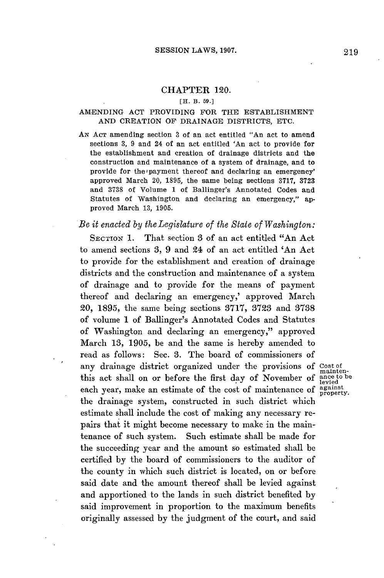#### CHAPTER 120.

#### **[H. B. 59.]**

## **AMENDING ACT** PROVIDING FOR THE ESTABLISHMENT **AND** CREATION OF DRAINAGE DISTRICTS, **ETC.**

**AN ACT** amending section **3** of an act entitled "An act to amend sections **3, 9** and 24 of an act entitled 'An act to provide for the establishment and creation of drainage districts and the construction and maintenance of a system of drainage, and to provide for the payment thereof and declaring an emergency' approved March 20, **1895,** the same being sections **3717, 3723** and **3738** of Volume **1** of Ballinger's Annotated Codes and Statutes of Washington and declaring an emergency," approved March **13, 1905.**

## *Be it enacted by the Legislature of the State of Washington:*

**SECTION 1.** That section **3** of an act entitled "An Act to amend sections **3, 9** and 24 of an act entitled 'An Act to provide for the establishment and creation of drainage districts and the construction and maintenance of a system of drainage and to provide for the means of payment thereof and declaring an emergency,' approved March 20, **1895,** the same being sections **3717, 3723** and **3738** of volume **1** of Ballinger's Annotated Codes and Statutes of Washington and declaring an emergency," approved March **13, 1905,** be and the same is hereby amended to read as follows: Sec. **3.** The board of commissioners of any drainage district organized under the provisions of Cost **of** this act shall on or before the first day of November of each year, make an estimate of the cost of maintenance of against property. the drainage system, constructed in such district which estimate shall include the cost of making any necessary repairs that it might become necessary to make in the maintenance of such system. Such estimate shall be made for the succeeding year and the amount so estimated shall be certified **by** the board of commissioners to the auditor of the county in which such district is located, on or before said date and the amount thereof shall be levied against and apportioned to the lands in such district benefited **by** said improvement in proportion to the maximum benefits originally assessed **by** the judgment of the court, and said

mainten-<br>ance to be<br>levied